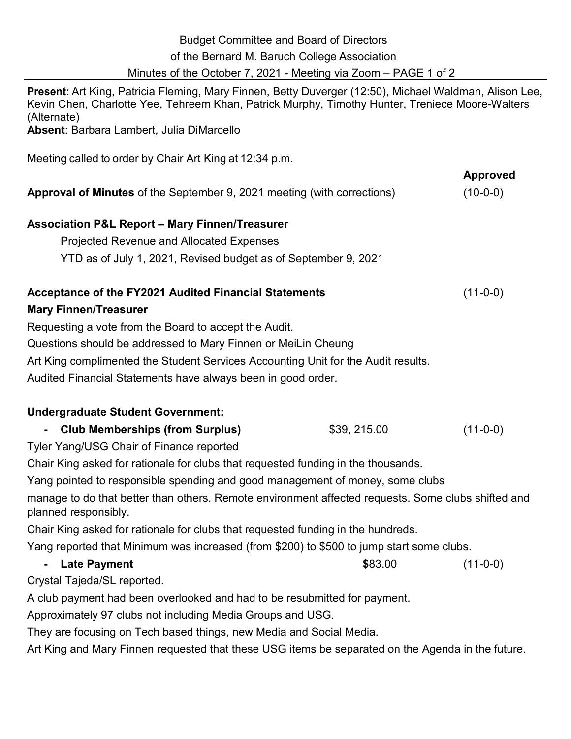| <b>Budget Committee and Board of Directors</b><br>of the Bernard M. Baruch College Association<br>Minutes of the October 7, 2021 - Meeting via Zoom - PAGE 1 of 2                                                        |              |                               |
|--------------------------------------------------------------------------------------------------------------------------------------------------------------------------------------------------------------------------|--------------|-------------------------------|
| Present: Art King, Patricia Fleming, Mary Finnen, Betty Duverger (12:50), Michael Waldman, Alison Lee,<br>Kevin Chen, Charlotte Yee, Tehreem Khan, Patrick Murphy, Timothy Hunter, Treniece Moore-Walters<br>(Alternate) |              |                               |
| Absent: Barbara Lambert, Julia DiMarcello                                                                                                                                                                                |              |                               |
| Meeting called to order by Chair Art King at 12:34 p.m.                                                                                                                                                                  |              |                               |
| <b>Approval of Minutes</b> of the September 9, 2021 meeting (with corrections)                                                                                                                                           |              | <b>Approved</b><br>$(10-0-0)$ |
| <b>Association P&amp;L Report - Mary Finnen/Treasurer</b>                                                                                                                                                                |              |                               |
| <b>Projected Revenue and Allocated Expenses</b>                                                                                                                                                                          |              |                               |
| YTD as of July 1, 2021, Revised budget as of September 9, 2021                                                                                                                                                           |              |                               |
| Acceptance of the FY2021 Audited Financial Statements<br><b>Mary Finnen/Treasurer</b>                                                                                                                                    |              | $(11-0-0)$                    |
| Requesting a vote from the Board to accept the Audit.                                                                                                                                                                    |              |                               |
| Questions should be addressed to Mary Finnen or MeiLin Cheung                                                                                                                                                            |              |                               |
| Art King complimented the Student Services Accounting Unit for the Audit results.                                                                                                                                        |              |                               |
| Audited Financial Statements have always been in good order.                                                                                                                                                             |              |                               |
|                                                                                                                                                                                                                          |              |                               |
| <b>Undergraduate Student Government:</b>                                                                                                                                                                                 |              |                               |
| <b>Club Memberships (from Surplus)</b>                                                                                                                                                                                   | \$39, 215.00 | $(11-0-0)$                    |
| Tyler Yang/USG Chair of Finance reported                                                                                                                                                                                 |              |                               |
| Chair King asked for rationale for clubs that requested funding in the thousands.                                                                                                                                        |              |                               |
| Yang pointed to responsible spending and good management of money, some clubs                                                                                                                                            |              |                               |
| manage to do that better than others. Remote environment affected requests. Some clubs shifted and<br>planned responsibly.                                                                                               |              |                               |
| Chair King asked for rationale for clubs that requested funding in the hundreds.                                                                                                                                         |              |                               |
| Yang reported that Minimum was increased (from \$200) to \$500 to jump start some clubs.                                                                                                                                 |              |                               |
| <b>Late Payment</b>                                                                                                                                                                                                      | \$83.00      | $(11-0-0)$                    |
| Crystal Tajeda/SL reported.                                                                                                                                                                                              |              |                               |
| A club payment had been overlooked and had to be resubmitted for payment.                                                                                                                                                |              |                               |
| Approximately 97 clubs not including Media Groups and USG.                                                                                                                                                               |              |                               |
|                                                                                                                                                                                                                          |              |                               |

They are focusing on Tech based things, new Media and Social Media.

Art King and Mary Finnen requested that these USG items be separated on the Agenda in the future.